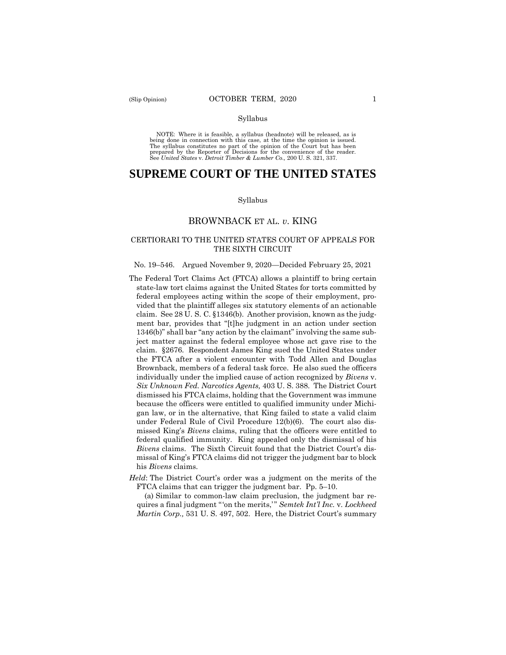#### Syllabus

 NOTE: Where it is feasible, a syllabus (headnote) will be released, as is being done in connection with this case, at the time the opinion is issued. The syllabus constitutes no part of the opinion of the Court but has been<br>prepared by the Reporter of Decisions for the convenience of the reader.<br>See United States v. Detroit Timber & Lumber Co., 200 U.S. 321, 337.

# **SUPREME COURT OF THE UNITED STATES**

#### Syllabus

## BROWNBACK ET AL. *v*. KING

### CERTIORARI TO THE UNITED STATES COURT OF APPEALS FOR THE SIXTH CIRCUIT

#### No. 19–546. Argued November 9, 2020—Decided February 25, 2021

- The Federal Tort Claims Act (FTCA) allows a plaintiff to bring certain state-law tort claims against the United States for torts committed by federal employees acting within the scope of their employment, provided that the plaintiff alleges six statutory elements of an actionable claim. See 28 U. S. C. §1346(b). Another provision, known as the judgment bar, provides that "[t]he judgment in an action under section 1346(b)" shall bar "any action by the claimant" involving the same subject matter against the federal employee whose act gave rise to the claim. §2676. Respondent James King sued the United States under the FTCA after a violent encounter with Todd Allen and Douglas Brownback, members of a federal task force. He also sued the officers individually under the implied cause of action recognized by *Bivens* v. *Six Unknown Fed. Narcotics Agents,* 403 U. S. 388. The District Court dismissed his FTCA claims, holding that the Government was immune because the officers were entitled to qualified immunity under Michigan law, or in the alternative, that King failed to state a valid claim under Federal Rule of Civil Procedure 12(b)(6). The court also dismissed King's *Bivens* claims, ruling that the officers were entitled to federal qualified immunity. King appealed only the dismissal of his *Bivens* claims. The Sixth Circuit found that the District Court's dismissal of King's FTCA claims did not trigger the judgment bar to block his *Bivens* claims.
- *Held*: The District Court's order was a judgment on the merits of the FTCA claims that can trigger the judgment bar. Pp. 5–10.

(a) Similar to common-law claim preclusion, the judgment bar requires a final judgment " 'on the merits,' " *Semtek Int'l Inc.* v. *Lockheed Martin Corp.,* 531 U. S. 497, 502. Here, the District Court's summary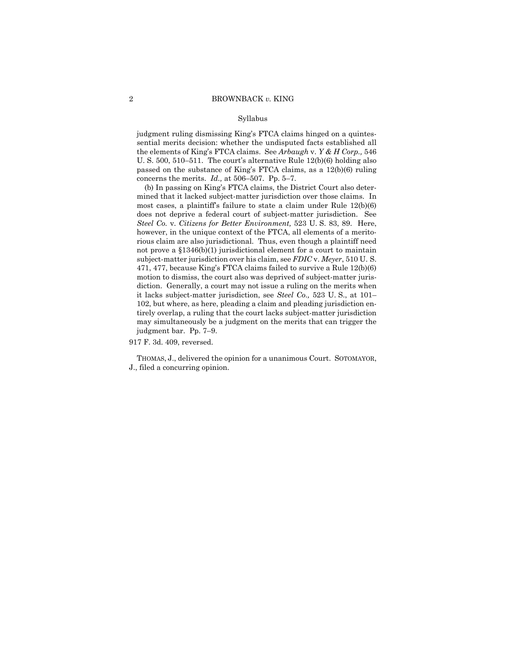#### Syllabus

judgment ruling dismissing King's FTCA claims hinged on a quintessential merits decision: whether the undisputed facts established all the elements of King's FTCA claims. See *Arbaugh* v. *Y & H Corp.,* 546 U. S. 500, 510–511. The court's alternative Rule 12(b)(6) holding also passed on the substance of King's FTCA claims, as a 12(b)(6) ruling concerns the merits. *Id.,* at 506–507. Pp. 5–7.

 diction. Generally, a court may not issue a ruling on the merits when (b) In passing on King's FTCA claims, the District Court also determined that it lacked subject-matter jurisdiction over those claims. In most cases, a plaintiff's failure to state a claim under Rule 12(b)(6) does not deprive a federal court of subject-matter jurisdiction. See *Steel Co.* v. *Citizens for Better Environment,* 523 U. S. 83, 89. Here, however, in the unique context of the FTCA, all elements of a meritorious claim are also jurisdictional. Thus, even though a plaintiff need not prove a §1346(b)(1) jurisdictional element for a court to maintain subject-matter jurisdiction over his claim, see *FDIC* v. *Meyer*, 510 U. S. 471, 477, because King's FTCA claims failed to survive a Rule 12(b)(6) motion to dismiss, the court also was deprived of subject-matter jurisit lacks subject-matter jurisdiction, see *Steel Co.,* 523 U. S., at 101– 102, but where, as here, pleading a claim and pleading jurisdiction entirely overlap, a ruling that the court lacks subject-matter jurisdiction may simultaneously be a judgment on the merits that can trigger the judgment bar. Pp. 7–9.

917 F. 3d. 409, reversed.

THOMAS, J., delivered the opinion for a unanimous Court. SOTOMAYOR, J., filed a concurring opinion.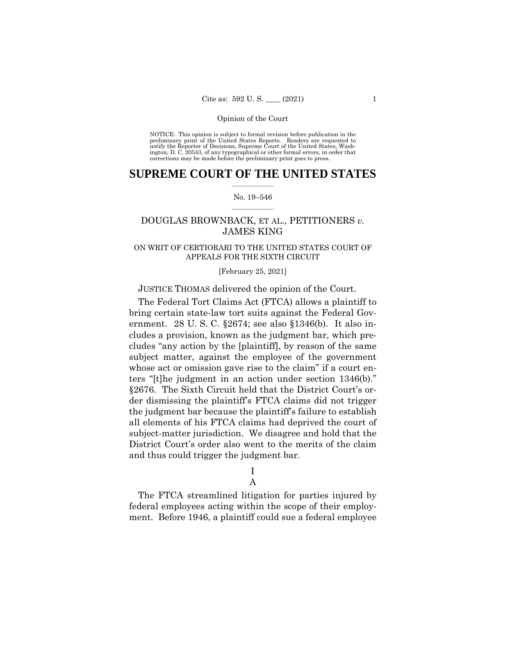NOTICE: This opinion is subject to formal revision before publication in the preliminary print of the United States Reports. Readers are requested to notify the Reporter of Decisions, Supreme Court of the United States, Wash-ington, D. C. 20543, of any typographical or other formal errors, in order that corrections may be made before the preliminary print goes to press.

## $\frac{1}{2}$  , where  $\frac{1}{2}$ **SUPREME COURT OF THE UNITED STATES**

#### $\frac{1}{2}$  ,  $\frac{1}{2}$  ,  $\frac{1}{2}$  ,  $\frac{1}{2}$  ,  $\frac{1}{2}$  ,  $\frac{1}{2}$ No. 19–546

## DOUGLAS BROWNBACK, ET AL., PETITIONERS *v.*  JAMES KING

## ON WRIT OF CERTIORARI TO THE UNITED STATES COURT OF APPEALS FOR THE SIXTH CIRCUIT

#### [February 25, 2021]

## JUSTICE THOMAS delivered the opinion of the Court.

The Federal Tort Claims Act (FTCA) allows a plaintiff to bring certain state-law tort suits against the Federal Government. 28 U. S. C. §2674; see also §1346(b). It also includes a provision, known as the judgment bar, which precludes "any action by the [plaintiff], by reason of the same subject matter, against the employee of the government whose act or omission gave rise to the claim" if a court enters "[t]he judgment in an action under section 1346(b)." §2676. The Sixth Circuit held that the District Court's order dismissing the plaintiff's FTCA claims did not trigger the judgment bar because the plaintiff's failure to establish all elements of his FTCA claims had deprived the court of subject-matter jurisdiction. We disagree and hold that the District Court's order also went to the merits of the claim and thus could trigger the judgment bar.

# I

# A

The FTCA streamlined litigation for parties injured by federal employees acting within the scope of their employment. Before 1946, a plaintiff could sue a federal employee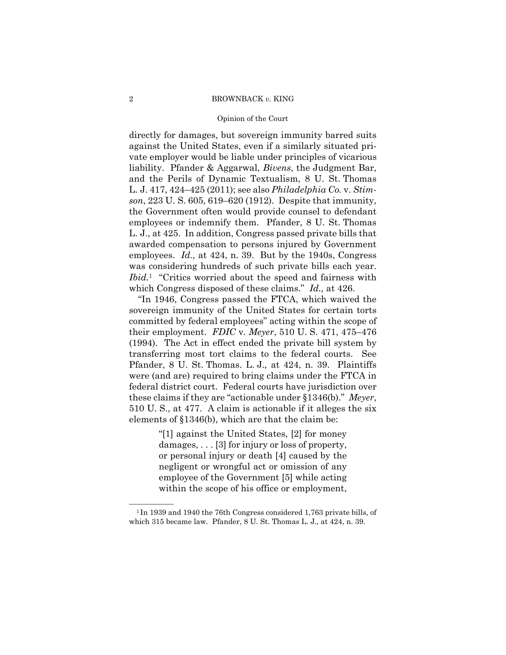#### Opinion of the Court

directly for damages, but sovereign immunity barred suits against the United States, even if a similarly situated private employer would be liable under principles of vicarious liability. Pfander & Aggarwal, *Bivens*, the Judgment Bar, and the Perils of Dynamic Textualism, 8 U. St. Thomas L. J. 417, 424–425 (2011); see also *Philadelphia Co.* v. *Stimson*, 223 U. S. 605, 619–620 (1912). Despite that immunity, the Government often would provide counsel to defendant employees or indemnify them. Pfander, 8 U. St. Thomas L. J., at 425. In addition, Congress passed private bills that awarded compensation to persons injured by Government employees. *Id.,* at 424, n. 39. But by the 1940s, Congress was considering hundreds of such private bills each year. *Ibid.*1 "Critics worried about the speed and fairness with which Congress disposed of these claims." *Id.,* at 426.

"In 1946, Congress passed the FTCA, which waived the sovereign immunity of the United States for certain torts committed by federal employees" acting within the scope of their employment. *FDIC* v. *Meyer*, 510 U. S. 471, 475–476 (1994). The Act in effect ended the private bill system by transferring most tort claims to the federal courts. See Pfander, 8 U. St. Thomas. L. J.*,* at 424, n. 39. Plaintiffs were (and are) required to bring claims under the FTCA in federal district court. Federal courts have jurisdiction over these claims if they are "actionable under §1346(b)." *Meyer*, 510 U. S., at 477. A claim is actionable if it alleges the six elements of §1346(b), which are that the claim be:

> "[1] against the United States, [2] for money damages, . . . [3] for injury or loss of property, or personal injury or death [4] caused by the negligent or wrongful act or omission of any employee of the Government [5] while acting within the scope of his office or employment,

<sup>&</sup>lt;sup>1</sup>In 1939 and 1940 the 76th Congress considered 1,763 private bills, of which 315 became law. Pfander, 8 U. St. Thomas L. J.*,* at 424, n. 39.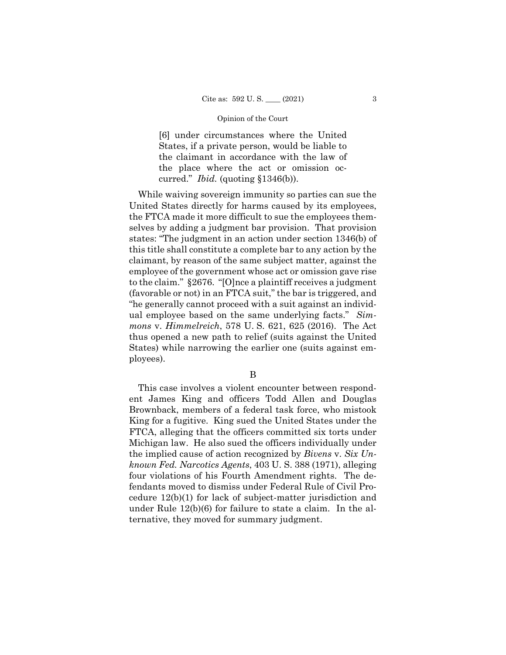[6] under circumstances where the United States, if a private person, would be liable to the claimant in accordance with the law of the place where the act or omission occurred." *Ibid.* (quoting §1346(b)).

While waiving sovereign immunity so parties can sue the United States directly for harms caused by its employees, the FTCA made it more difficult to sue the employees themselves by adding a judgment bar provision. That provision states: "The judgment in an action under section 1346(b) of this title shall constitute a complete bar to any action by the claimant, by reason of the same subject matter, against the employee of the government whose act or omission gave rise to the claim." §2676. "[O]nce a plaintiff receives a judgment (favorable or not) in an FTCA suit," the bar is triggered, and "he generally cannot proceed with a suit against an individual employee based on the same underlying facts." *Simmons* v. *Himmelreich*, 578 U. S. 621, 625 (2016). The Act thus opened a new path to relief (suits against the United States) while narrowing the earlier one (suits against employees).

## B

This case involves a violent encounter between respondent James King and officers Todd Allen and Douglas Brownback, members of a federal task force, who mistook King for a fugitive. King sued the United States under the FTCA, alleging that the officers committed six torts under Michigan law. He also sued the officers individually under the implied cause of action recognized by *Bivens* v. *Six Unknown Fed. Narcotics Agents*, 403 U. S. 388 (1971), alleging four violations of his Fourth Amendment rights. The defendants moved to dismiss under Federal Rule of Civil Procedure 12(b)(1) for lack of subject-matter jurisdiction and under Rule 12(b)(6) for failure to state a claim. In the alternative, they moved for summary judgment.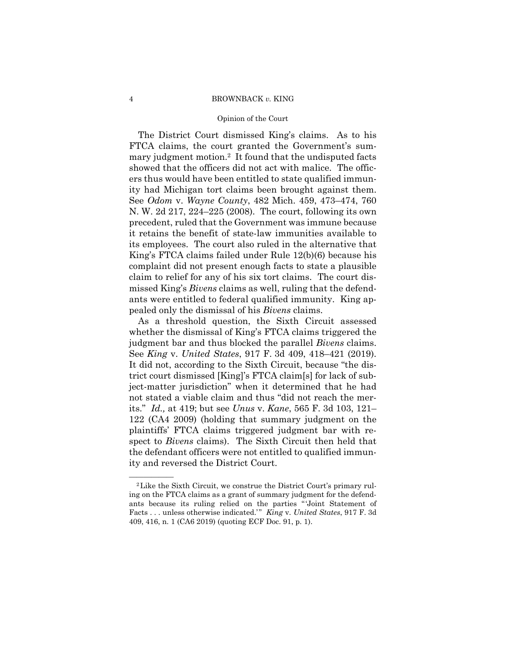#### Opinion of the Court

 mary judgment motion.2 It found that the undisputed facts The District Court dismissed King's claims. As to his FTCA claims, the court granted the Government's sumshowed that the officers did not act with malice. The officers thus would have been entitled to state qualified immunity had Michigan tort claims been brought against them. See *Odom* v. *Wayne County*, 482 Mich. 459, 473–474, 760 N. W. 2d 217, 224–225 (2008). The court, following its own precedent, ruled that the Government was immune because it retains the benefit of state-law immunities available to its employees. The court also ruled in the alternative that King's FTCA claims failed under Rule 12(b)(6) because his complaint did not present enough facts to state a plausible claim to relief for any of his six tort claims. The court dismissed King's *Bivens* claims as well, ruling that the defendants were entitled to federal qualified immunity. King appealed only the dismissal of his *Bivens* claims.

As a threshold question, the Sixth Circuit assessed whether the dismissal of King's FTCA claims triggered the judgment bar and thus blocked the parallel *Bivens* claims. See *King* v. *United States*, 917 F. 3d 409, 418–421 (2019). It did not, according to the Sixth Circuit, because "the district court dismissed [King]'s FTCA claim[s] for lack of subject-matter jurisdiction" when it determined that he had not stated a viable claim and thus "did not reach the merits." *Id.,* at 419; but see *Unus* v. *Kane*, 565 F. 3d 103, 121– 122 (CA4 2009) (holding that summary judgment on the plaintiffs' FTCA claims triggered judgment bar with respect to *Bivens* claims). The Sixth Circuit then held that the defendant officers were not entitled to qualified immunity and reversed the District Court.

ants because its ruling relied on the parties "Joint Statement of <sup>2</sup>Like the Sixth Circuit, we construe the District Court's primary ruling on the FTCA claims as a grant of summary judgment for the defend-Facts . . . unless otherwise indicated.'" *King v. United States*, 917 F. 3d 409, 416, n. 1 (CA6 2019) (quoting ECF Doc. 91, p. 1).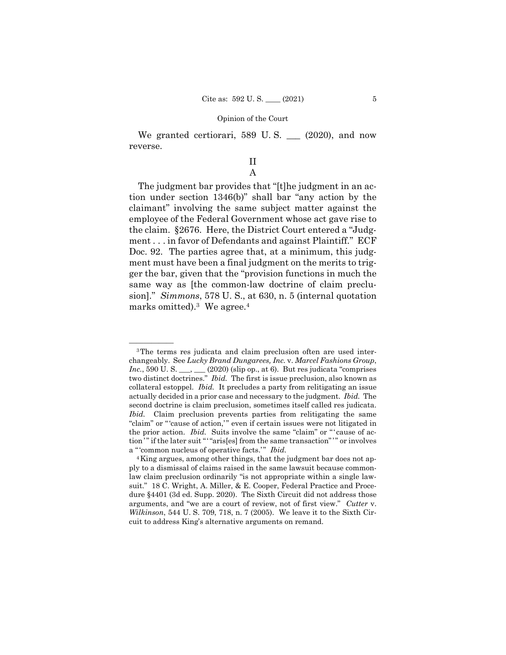We granted certiorari, 589 U.S. \_\_ (2020), and now reverse.

## II A

marks omitted).<sup>3</sup> We agree.<sup>4</sup> The judgment bar provides that "[t]he judgment in an action under section 1346(b)" shall bar "any action by the claimant" involving the same subject matter against the employee of the Federal Government whose act gave rise to the claim. §2676. Here, the District Court entered a "Judgment . . . in favor of Defendants and against Plaintiff." ECF Doc. 92. The parties agree that, at a minimum, this judgment must have been a final judgment on the merits to trigger the bar, given that the "provision functions in much the same way as [the common-law doctrine of claim preclusion]." *Simmons*, 578 U. S., at 630, n. 5 (internal quotation

 two distinct doctrines." *Ibid.* The first is issue preclusion, also known as <sup>3</sup>The terms res judicata and claim preclusion often are used interchangeably. See *Lucky Brand Dungarees, Inc.* v. *Marcel Fashions Group*, *Inc.*, 590 U. S. \_\_\_, \_\_ (2020) (slip op., at 6). But res judicata "comprises collateral estoppel. *Ibid.* It precludes a party from relitigating an issue actually decided in a prior case and necessary to the judgment. *Ibid.* The second doctrine is claim preclusion, sometimes itself called res judicata. *Ibid.* Claim preclusion prevents parties from relitigating the same "claim" or "'cause of action," even if certain issues were not litigated in the prior action. *Ibid.* Suits involve the same "claim" or " cause of action'" if the later suit " "aris[es] from the same transaction"'" or involves a "'common nucleus of operative facts.'" Ibid.

<sup>4</sup>King argues, among other things, that the judgment bar does not apply to a dismissal of claims raised in the same lawsuit because commonlaw claim preclusion ordinarily "is not appropriate within a single lawsuit." 18 C. Wright, A. Miller, & E. Cooper, Federal Practice and Procedure §4401 (3d ed. Supp. 2020). The Sixth Circuit did not address those arguments, and "we are a court of review, not of first view." *Cutter* v. *Wilkinson*, 544 U. S. 709, 718, n. 7 (2005). We leave it to the Sixth Circuit to address King's alternative arguments on remand.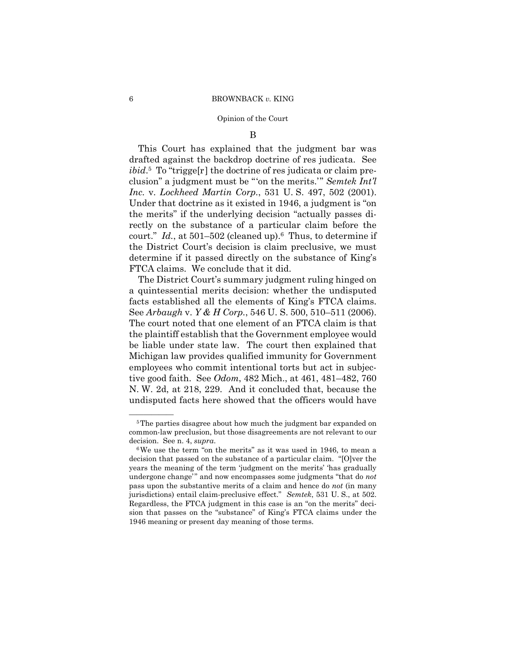#### Opinion of the Court

## B

 *Inc.* v. *Lockheed Martin Corp.*, 531 U. S. 497, 502 (2001). This Court has explained that the judgment bar was drafted against the backdrop doctrine of res judicata. See *ibid*.5 To "trigge[r] the doctrine of res judicata or claim preclusion" a judgment must be "'on the merits.'" *Semtek Int'l*  Under that doctrine as it existed in 1946, a judgment is "on the merits" if the underlying decision "actually passes directly on the substance of a particular claim before the court." *Id.*, at 501–502 (cleaned up).6 Thus, to determine if the District Court's decision is claim preclusive, we must determine if it passed directly on the substance of King's FTCA claims. We conclude that it did.

The District Court's summary judgment ruling hinged on a quintessential merits decision: whether the undisputed facts established all the elements of King's FTCA claims. See *Arbaugh* v. *Y & H Corp.*, 546 U. S. 500, 510–511 (2006). The court noted that one element of an FTCA claim is that the plaintiff establish that the Government employee would be liable under state law. The court then explained that Michigan law provides qualified immunity for Government employees who commit intentional torts but act in subjective good faith. See *Odom*, 482 Mich., at 461, 481–482, 760 N. W. 2d, at 218, 229. And it concluded that, because the undisputed facts here showed that the officers would have

<sup>&</sup>lt;sup>5</sup>The parties disagree about how much the judgment bar expanded on common-law preclusion, but those disagreements are not relevant to our decision. See n. 4, *supra*.<br><sup>6</sup>We use the term "on the merits" as it was used in 1946, to mean a

 jurisdictions) entail claim-preclusive effect." *Semtek*, 531 U. S., at 502. Regardless, the FTCA judgment in this case is an "on the merits" decidecision that passed on the substance of a particular claim. "[O]ver the years the meaning of the term 'judgment on the merits' 'has gradually undergone change'" and now encompasses some judgments "that do *not* pass upon the substantive merits of a claim and hence do *not* (in many sion that passes on the "substance" of King's FTCA claims under the 1946 meaning or present day meaning of those terms.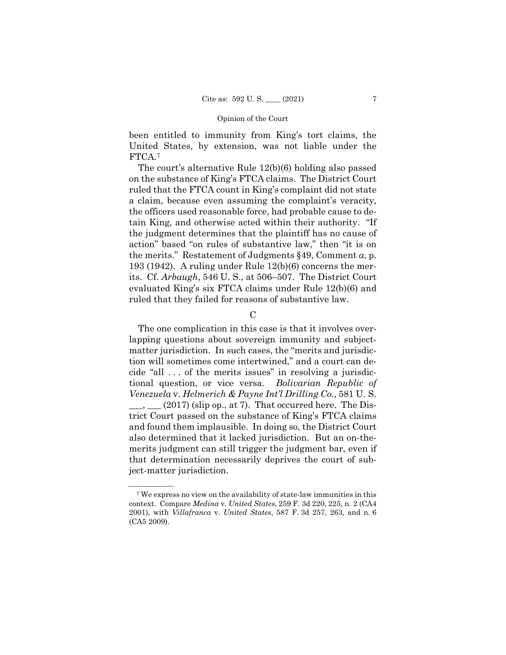FTCA.7 been entitled to immunity from King's tort claims, the United States, by extension, was not liable under the

The court's alternative Rule 12(b)(6) holding also passed on the substance of King's FTCA claims. The District Court ruled that the FTCA count in King's complaint did not state a claim, because even assuming the complaint's veracity, the officers used reasonable force, had probable cause to detain King, and otherwise acted within their authority. "If the judgment determines that the plaintiff has no cause of action" based "on rules of substantive law," then "it is on the merits." Restatement of Judgments §49, Comment *a*, p. 193 (1942). A ruling under Rule 12(b)(6) concerns the merits. Cf. *Arbaugh*, 546 U. S., at 506–507. The District Court evaluated King's six FTCA claims under Rule 12(b)(6) and ruled that they failed for reasons of substantive law.

 $\mathcal{C}$ 

The one complication in this case is that it involves overlapping questions about sovereign immunity and subjectmatter jurisdiction. In such cases, the "merits and jurisdiction will sometimes come intertwined," and a court can decide "all . . . of the merits issues" in resolving a jurisdictional question, or vice versa. *Bolivarian Republic of Venezuela* v. *Helmerich & Payne Int'l Drilling Co.*, 581 U. S.  $(2017)$  (slip op., at 7). That occurred here. The District Court passed on the substance of King's FTCA claims and found them implausible. In doing so, the District Court also determined that it lacked jurisdiction. But an on-themerits judgment can still trigger the judgment bar, even if that determination necessarily deprives the court of subject-matter jurisdiction.

 context. Compare *Medina* v. *United States*, 259 F. 3d 220, 225, n. 2 (CA4 2001), with *Villafranca* v. *United States*, 587 F. 3d 257, 263, and n. 6 <sup>7</sup> We express no view on the availability of state-law immunities in this (CA5 2009).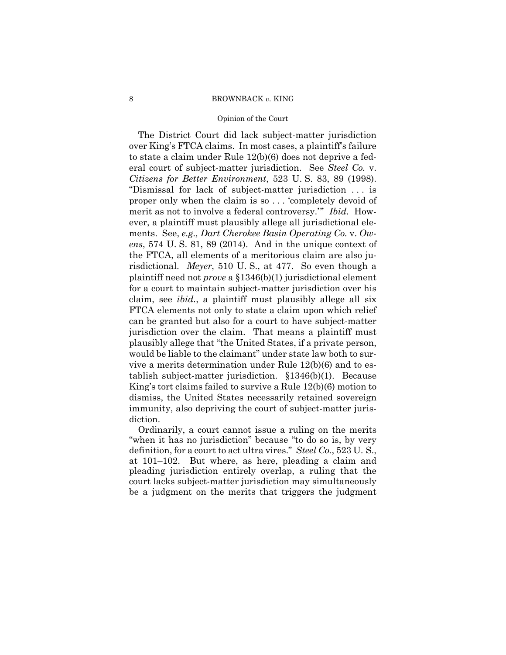#### Opinion of the Court

The District Court did lack subject-matter jurisdiction over King's FTCA claims. In most cases, a plaintiff's failure to state a claim under Rule 12(b)(6) does not deprive a federal court of subject-matter jurisdiction. See *Steel Co.* v. *Citizens for Better Environment*, 523 U. S. 83, 89 (1998). "Dismissal for lack of subject-matter jurisdiction . . . is proper only when the claim is so . . . 'completely devoid of merit as not to involve a federal controversy.'" *Ibid.* However, a plaintiff must plausibly allege all jurisdictional elements. See, *e.g., Dart Cherokee Basin Operating Co.* v. *Owens*, 574 U. S. 81, 89 (2014). And in the unique context of the FTCA, all elements of a meritorious claim are also jurisdictional. *Meyer*, 510 U. S., at 477. So even though a plaintiff need not *prove* a §1346(b)(1) jurisdictional element for a court to maintain subject-matter jurisdiction over his claim, see *ibid.*, a plaintiff must plausibly allege all six FTCA elements not only to state a claim upon which relief can be granted but also for a court to have subject-matter jurisdiction over the claim. That means a plaintiff must plausibly allege that "the United States, if a private person, would be liable to the claimant" under state law both to survive a merits determination under Rule 12(b)(6) and to establish subject-matter jurisdiction. §1346(b)(1). Because King's tort claims failed to survive a Rule 12(b)(6) motion to dismiss, the United States necessarily retained sovereign immunity, also depriving the court of subject-matter jurisdiction.

Ordinarily, a court cannot issue a ruling on the merits "when it has no jurisdiction" because "to do so is, by very definition, for a court to act ultra vires." *Steel Co.*, 523 U. S., at 101–102. But where, as here, pleading a claim and pleading jurisdiction entirely overlap, a ruling that the court lacks subject-matter jurisdiction may simultaneously be a judgment on the merits that triggers the judgment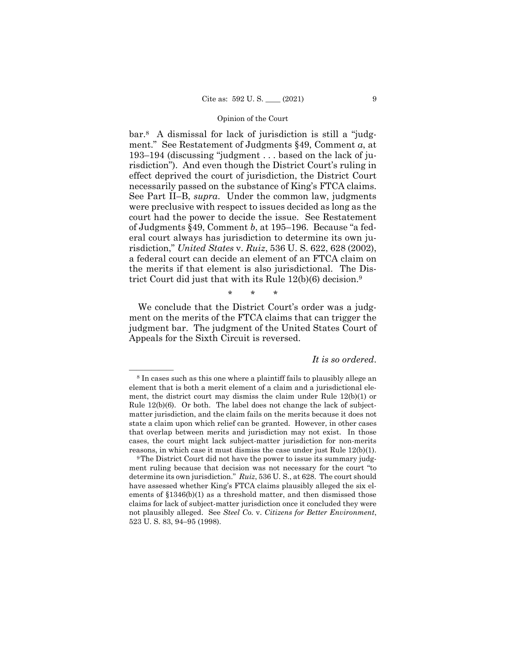bar.8 A dismissal for lack of jurisdiction is still a "judgment." See Restatement of Judgments §49, Comment *a*, at 193–194 (discussing "judgment . . . based on the lack of jurisdiction"). And even though the District Court's ruling in effect deprived the court of jurisdiction, the District Court necessarily passed on the substance of King's FTCA claims. See Part II–B, *supra*. Under the common law, judgments were preclusive with respect to issues decided as long as the court had the power to decide the issue. See Restatement of Judgments §49, Comment *b*, at 195–196. Because "a federal court always has jurisdiction to determine its own jurisdiction," *United States* v. *Ruiz*, 536 U. S. 622, 628 (2002), a federal court can decide an element of an FTCA claim on the merits if that element is also jurisdictional. The District Court did just that with its Rule 12(b)(6) decision.9

\* \* \*

We conclude that the District Court's order was a judgment on the merits of the FTCA claims that can trigger the judgment bar. The judgment of the United States Court of Appeals for the Sixth Circuit is reversed.

## *It is so ordered*.

<sup>&</sup>lt;sup>8</sup> In cases such as this one where a plaintiff fails to plausibly allege an element that is both a merit element of a claim and a jurisdictional element, the district court may dismiss the claim under Rule 12(b)(1) or Rule 12(b)(6). Or both. The label does not change the lack of subjectmatter jurisdiction, and the claim fails on the merits because it does not state a claim upon which relief can be granted. However, in other cases that overlap between merits and jurisdiction may not exist. In those cases, the court might lack subject-matter jurisdiction for non-merits reasons, in which case it must dismiss the case under just Rule 12(b)(1).

<sup>&</sup>lt;sup>9</sup>The District Court did not have the power to issue its summary judgment ruling because that decision was not necessary for the court "to determine its own jurisdiction." *Ruiz*, 536 U. S., at 628. The court should have assessed whether King's FTCA claims plausibly alleged the six elements of §1346(b)(1) as a threshold matter, and then dismissed those claims for lack of subject-matter jurisdiction once it concluded they were not plausibly alleged. See *Steel Co.* v. *Citizens for Better Environment*, 523 U. S. 83, 94–95 (1998).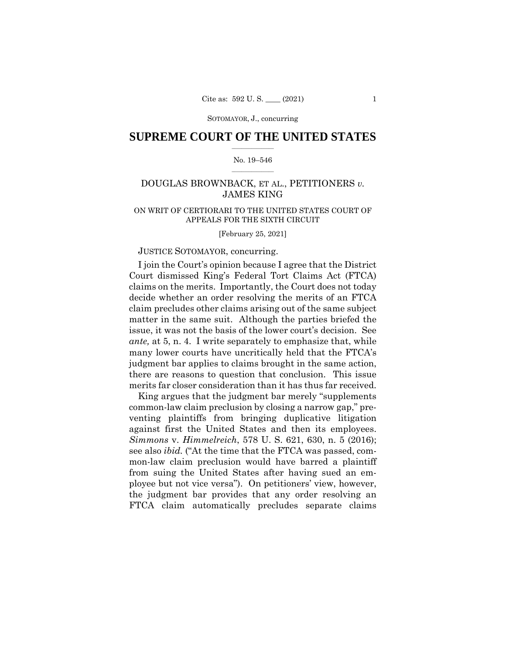SOTOMAYOR, J., concurring

## $\frac{1}{2}$  , where  $\frac{1}{2}$ **SUPREME COURT OF THE UNITED STATES**

#### $\frac{1}{2}$  ,  $\frac{1}{2}$  ,  $\frac{1}{2}$  ,  $\frac{1}{2}$  ,  $\frac{1}{2}$  ,  $\frac{1}{2}$ No. 19–546

## DOUGLAS BROWNBACK, ET AL., PETITIONERS *v.*  JAMES KING

## ON WRIT OF CERTIORARI TO THE UNITED STATES COURT OF APPEALS FOR THE SIXTH CIRCUIT

[February 25, 2021]

## JUSTICE SOTOMAYOR, concurring.

I join the Court's opinion because I agree that the District Court dismissed King's Federal Tort Claims Act (FTCA) claims on the merits. Importantly, the Court does not today decide whether an order resolving the merits of an FTCA claim precludes other claims arising out of the same subject matter in the same suit. Although the parties briefed the issue, it was not the basis of the lower court's decision. See *ante,* at 5, n. 4. I write separately to emphasize that, while many lower courts have uncritically held that the FTCA's judgment bar applies to claims brought in the same action, there are reasons to question that conclusion. This issue merits far closer consideration than it has thus far received.

King argues that the judgment bar merely "supplements common-law claim preclusion by closing a narrow gap," preventing plaintiffs from bringing duplicative litigation against first the United States and then its employees. *Simmons* v. *Himmelreich*, 578 U. S. 621, 630, n. 5 (2016); see also *ibid.* ("At the time that the FTCA was passed, common-law claim preclusion would have barred a plaintiff from suing the United States after having sued an employee but not vice versa"). On petitioners' view, however, the judgment bar provides that any order resolving an FTCA claim automatically precludes separate claims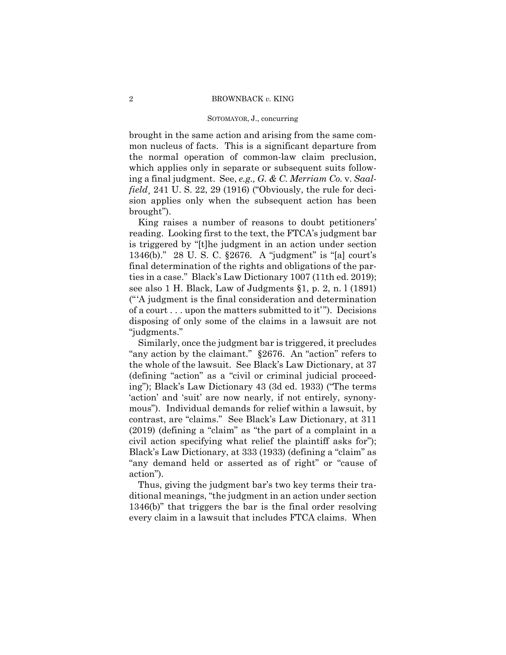#### SOTOMAYOR, J., concurring

brought in the same action and arising from the same common nucleus of facts. This is a significant departure from the normal operation of common-law claim preclusion, which applies only in separate or subsequent suits following a final judgment. See, *e.g., G. & C. Merriam Co.* v. *Saalfield*, 241 U.S. 22, 29 (1916) ("Obviously, the rule for decision applies only when the subsequent action has been brought").

King raises a number of reasons to doubt petitioners' reading. Looking first to the text, the FTCA's judgment bar is triggered by "[t]he judgment in an action under section 1346(b)." 28 U. S. C. §2676. A "judgment" is "[a] court's final determination of the rights and obligations of the parties in a case." Black's Law Dictionary 1007 (11th ed. 2019); see also 1 H. Black, Law of Judgments §1, p. 2, n. l (1891) ("'A judgment is the final consideration and determination of a court . . . upon the matters submitted to it'"). Decisions disposing of only some of the claims in a lawsuit are not "judgments."

Similarly, once the judgment bar is triggered, it precludes "any action by the claimant." §2676. An "action" refers to the whole of the lawsuit. See Black's Law Dictionary, at 37 (defining "action" as a "civil or criminal judicial proceeding"); Black's Law Dictionary 43 (3d ed. 1933) ("The terms 'action' and 'suit' are now nearly, if not entirely, synonymous"). Individual demands for relief within a lawsuit, by contrast, are "claims." See Black's Law Dictionary, at 311 (2019) (defining a "claim" as "the part of a complaint in a civil action specifying what relief the plaintiff asks for"); Black's Law Dictionary, at 333 (1933) (defining a "claim" as "any demand held or asserted as of right" or "cause of action").

Thus, giving the judgment bar's two key terms their traditional meanings, "the judgment in an action under section 1346(b)" that triggers the bar is the final order resolving every claim in a lawsuit that includes FTCA claims. When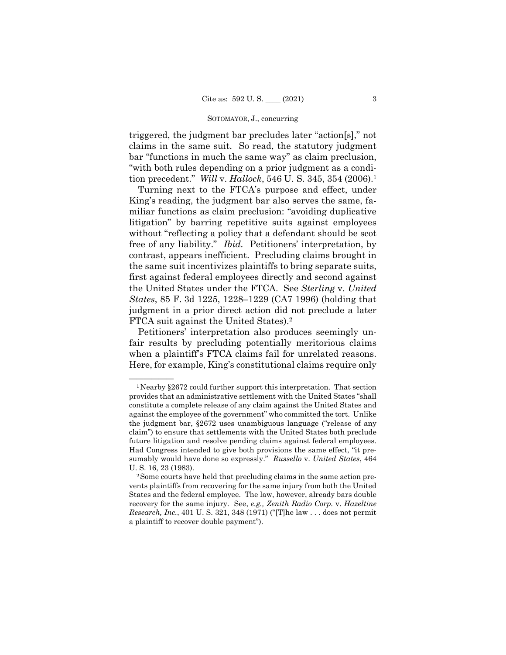#### SOTOMAYOR, J., concurring

triggered, the judgment bar precludes later "action[s]," not claims in the same suit. So read, the statutory judgment bar "functions in much the same way" as claim preclusion, "with both rules depending on a prior judgment as a condition precedent." *Will* v. *Hallock*, 546 U. S. 345, 354 (2006).1

Turning next to the FTCA's purpose and effect, under King's reading, the judgment bar also serves the same, familiar functions as claim preclusion: "avoiding duplicative litigation" by barring repetitive suits against employees without "reflecting a policy that a defendant should be scot free of any liability." *Ibid.* Petitioners' interpretation, by contrast, appears inefficient. Precluding claims brought in the same suit incentivizes plaintiffs to bring separate suits, first against federal employees directly and second against the United States under the FTCA. See *Sterling* v. *United States*, 85 F. 3d 1225, 1228–1229 (CA7 1996) (holding that judgment in a prior direct action did not preclude a later FTCA suit against the United States).2

 Petitioners' interpretation also produces seemingly unfair results by precluding potentially meritorious claims when a plaintiff's FTCA claims fail for unrelated reasons. Here, for example, King's constitutional claims require only

<sup>&</sup>lt;sup>1</sup> Nearby §2672 could further support this interpretation. That section provides that an administrative settlement with the United States "shall constitute a complete release of any claim against the United States and against the employee of the government" who committed the tort. Unlike the judgment bar, §2672 uses unambiguous language ("release of any claim") to ensure that settlements with the United States both preclude future litigation and resolve pending claims against federal employees. Had Congress intended to give both provisions the same effect, "it presumably would have done so expressly." *Russello* v. *United States*, 464

U. S. 16, 23 (1983).<br><sup>2</sup>Some courts have held that precluding claims in the same action prevents plaintiffs from recovering for the same injury from both the United States and the federal employee. The law, however, already bars double recovery for the same injury. See, *e.g., Zenith Radio Corp.* v. *Hazeltine Research, Inc.*, 401 U. S. 321, 348 (1971) ("[T]he law . . . does not permit a plaintiff to recover double payment").